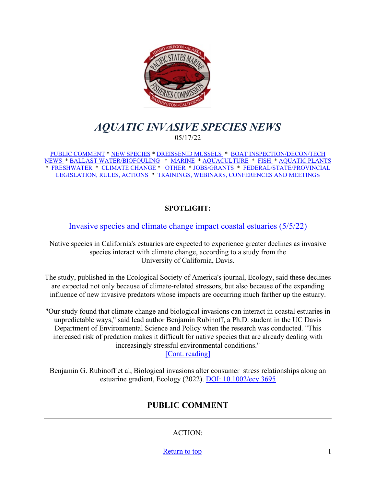<span id="page-0-0"></span>

# *AQUATIC INVASIVE SPECIES NEWS* 05/17/22

[PUBLIC COMMENT](#page-0-1) \* [NEW SPECIES](#page-1-0) \* [DREISSENID MUSSELS](#page-2-0) \* [BOAT INSPECTION/DECON/TECH](#page-3-0)  [NEWS](#page-3-0) [\\* BALLAST WATER/BIOFOULING](#page-4-0) \* [MARINE](#page-4-1) \* [AQUACULTURE](#page-4-2) \* [FISH](#page-5-0) \* [AQUATIC PLANTS](#page-6-0)  \* [FRESHWATER](#page-6-1) \* [CLIMATE CHANGE](#page-7-0) \* [OTHER](#page-8-0) \* [JOBS/GRANTS](#page-8-1) \* [FEDERAL/STATE/PROVINCIAL](#page-13-0)  [LEGISLATION, RULES, ACTIONS](#page-13-0) \* [TRAININGS, WEBINARS, CONFERENCES AND MEETINGS](#page-17-0) 

### **SPOTLIGHT:**

[Invasive species and climate change impact coastal estuaries \(5/5/22\)](https://phys.org/news/2022-05-invasive-species-climate-impact-coastal.html)

Native species in California's estuaries are expected to experience greater declines as invasive species interact with climate change, according to a study from the University of California, Davis.

The study, published in the Ecological Society of America's journal, Ecology, said these declines are expected not only because of climate-related stressors, but also because of the expanding influence of new invasive predators whose impacts are occurring much farther up the estuary.

"Our study found that climate change and biological invasions can interact in coastal estuaries in unpredictable ways," said lead author Benjamin Rubinoff, a Ph.D. student in the UC Davis Department of Environmental Science and Policy when the research was conducted. "This increased risk of predation makes it difficult for native species that are already dealing with increasingly stressful environmental conditions."

[\[Cont. reading\]](https://phys.org/news/2022-05-invasive-species-climate-impact-coastal.html)

<span id="page-0-1"></span>Benjamin G. Rubinoff et al, Biological invasions alter consumer–stress relationships along an estuarine gradient, Ecology (2022). [DOI: 10.1002/ecy.3695](https://phys.org/news/2022-05-invasive-species-climate-impact-coastal.html)

# **PUBLIC COMMENT**

ACTION:

[Return to top](#page-0-0) 1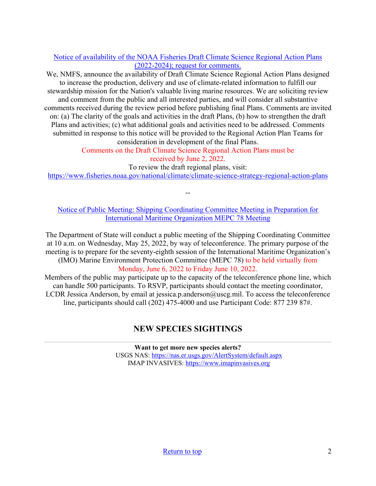### [Notice of availability of the NOAA Fisheries Draft Climate Science Regional Action Plans](https://www.federalregister.gov/documents/2022/04/22/2022-08483/noaa-fisheries-draft-climate-science-regional-action-plans-2022-2024)  [\(2022-2024\); request for comments.](https://www.federalregister.gov/documents/2022/04/22/2022-08483/noaa-fisheries-draft-climate-science-regional-action-plans-2022-2024)

We, NMFS, announce the availability of Draft Climate Science Regional Action Plans designed to increase the production, delivery and use of climate-related information to fulfill our stewardship mission for the Nation's valuable living marine resources. We are soliciting review and comment from the public and all interested parties, and will consider all substantive comments received during the review period before publishing final Plans. Comments are invited on: (a) The clarity of the goals and activities in the draft Plans, (b) how to strengthen the draft Plans and activities; (c) what additional goals and activities need to be addressed. Comments submitted in response to this notice will be provided to the Regional Action Plan Teams for consideration in development of the final Plans.

Comments on the Draft Climate Science Regional Action Plans must be received by June 2, 2022.

To review the draft regional plans, visit:

<https://www.fisheries.noaa.gov/national/climate/climate-science-strategy-regional-action-plans>

--

[Notice of Public Meeting: Shipping Coordinating Committee Meeting in Preparation for](https://mariners.coastguard.blog/2022/05/04/notice-of-public-meeting-shipping-coordinating-committee-meeting-in-preparation-for-international-maritime-organization-mepc-78-meeting/?utm_source=feedburner&utm_medium=email)  [International Maritime Organization MEPC 78 Meeting](https://mariners.coastguard.blog/2022/05/04/notice-of-public-meeting-shipping-coordinating-committee-meeting-in-preparation-for-international-maritime-organization-mepc-78-meeting/?utm_source=feedburner&utm_medium=email)

The Department of State will conduct a public meeting of the Shipping Coordinating Committee at 10 a.m. on Wednesday, May 25, 2022, by way of teleconference. The primary purpose of the meeting is to prepare for the seventy-eighth session of the International Maritime Organization's (IMO) Marine Environment Protection Committee (MEPC 78) to be held virtually from Monday, June 6, 2022 to Friday June 10, 2022.

<span id="page-1-0"></span>Members of the public may participate up to the capacity of the teleconference phone line, which can handle 500 participants. To RSVP, participants should contact the meeting coordinator, LCDR Jessica Anderson, by email at jessica.p.anderson@uscg.mil. To access the teleconference line, participants should call (202) 475-4000 and use Participant Code: 877 239 87#.

## **NEW SPECIES SIGHTINGS**

**Want to get more new species alerts?** USGS NAS:<https://nas.er.usgs.gov/AlertSystem/default.aspx> IMAP INVASIVES: [https://www.imapinvasives.org](https://www.imapinvasives.org/)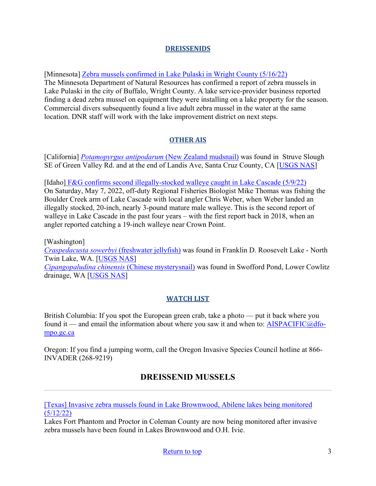#### **DREISSENIDS**

[Minnesota] [Zebra mussels confirmed in Lake Pulaski in Wright County \(5/16/22\)](https://www.dnr.state.mn.us/news/2022/05/16/zebra-mussels-confirmed-lake-pulaski-wright-county) 

The Minnesota Department of Natural Resources has confirmed a report of zebra mussels in Lake Pulaski in the city of Buffalo, Wright County. A lake service-provider business reported finding a dead zebra mussel on equipment they were installing on a lake property for the season. Commercial divers subsequently found a live adult zebra mussel in the water at the same location. DNR staff will work with the lake improvement district on next steps.

### **OTHER AIS**

[California] *[Potamopyrgus antipodarum](https://nas.er.usgs.gov/queries/SpResults.aspx?SpeciesID=1008)* (New Zealand mudsnail) was found in Struve Slough SE of Green Valley Rd. and at the end of Landis Ave, Santa Cruz County, CA [\[USGS NAS\]](https://nas.er.usgs.gov/queries/specimenviewer.aspx?SpecimenID=1692251)

[Idaho] [F&G confirms second illegally-stocked walleye caught in Lake Cascade \(5/9/22\)](https://idfg.idaho.gov/press/fg-confirms-second-report-walleye-caught-lake-cascade) On Saturday, May 7, 2022, off-duty Regional Fisheries Biologist Mike Thomas was fishing the Boulder Creek arm of Lake Cascade with local angler Chris Weber, when Weber landed an illegally stocked, 20-inch, nearly 3-pound mature male walleye. This is the second report of walleye in Lake Cascade in the past four years – with the first report back in 2018, when an angler reported catching a 19-inch walleye near Crown Point.

[Washington] *[Craspedacusta sowerbyi](https://nas.er.usgs.gov/queries/SpResults.aspx?SpeciesID=1068)* (freshwater jellyfish) was found in Franklin D. Roosevelt Lake - North Twin Lake, WA. [\[USGS NAS\]](https://nas.er.usgs.gov/queries/specimenviewer.aspx?SpecimenID=1695340) *[Cipangopaludina chinensis](https://nas.er.usgs.gov/queries/SpResults.aspx?SpeciesID=1044)* (Chinese mysterysnail) was found in Swofford Pond, Lower Cowlitz drainage, WA [\[USGS NAS\]](https://nas.er.usgs.gov/queries/specimenviewer.aspx?SpecimenID=1695376)

### **WATCH LIST**

British Columbia: If you spot the European green crab, take a photo — put it back where you found it — and email the information about where you saw it and when to:  $\text{AISPACIFIC}(\hat{\omega})$ dfo[mpo.gc.ca](mailto:AISPACIFIC@dfo-mpo.gc.ca)

<span id="page-2-0"></span>Oregon: If you find a jumping worm, call the Oregon Invasive Species Council hotline at 866- INVADER (268-9219)

# **DREISSENID MUSSELS**

[\[Texas\] Invasive zebra mussels found in Lake Brownwood, Abilene lakes being monitored](https://www.kxan.com/news/texas/invasive-zebra-mussels-found-in-lake-brownwood-abilene-lakes-being-monitored/)   $(5/12/22)$ 

Lakes Fort Phantom and Proctor in Coleman County are now being monitored after invasive zebra mussels have been found in Lakes Brownwood and O.H. Ivie.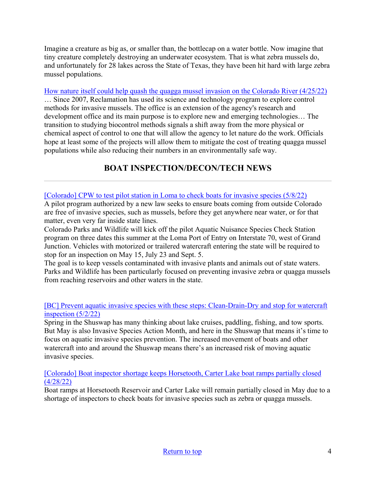Imagine a creature as big as, or smaller than, the bottlecap on a water bottle. Now imagine that tiny creature completely destroying an underwater ecosystem. That is what zebra mussels do, and unfortunately for 28 lakes across the State of Texas, they have been hit hard with large zebra mussel populations.

[How nature itself could help quash the quagga mussel invasion on the Colorado River \(4/25/22\)](https://www.azcentral.com/story/news/local/arizona-environment/2022/04/25/feds-try-slow-quagga-mussel-spread-using-science-and-nature/6838053001/) … Since 2007, Reclamation has used its science and technology program to explore control methods for invasive mussels. The office is an extension of the agency's research and development office and its main purpose is to explore new and emerging technologies… The transition to studying biocontrol methods signals a shift away from the more physical or chemical aspect of control to one that will allow the agency to let nature do the work. Officials hope at least some of the projects will allow them to mitigate the cost of treating quagga mussel populations while also reducing their numbers in an environmentally safe way.

# **BOAT INSPECTION/DECON/TECH NEWS**

#### <span id="page-3-0"></span>[\[Colorado\] CPW to test pilot station in Loma to check boats for invasive species \(5/8/22\)](https://www.gjsentinel.com/news/cpw-to-test-pilot-station-in-loma-to-check-boats-for-invasive-species/article_623ebf52-cd91-11ec-bbdf-b359829a6bac.html)

A pilot program authorized by a new law seeks to ensure boats coming from outside Colorado are free of invasive species, such as mussels, before they get anywhere near water, or for that matter, even very far inside state lines.

Colorado Parks and Wildlife will kick off the pilot Aquatic Nuisance Species Check Station program on three dates this summer at the Loma Port of Entry on Interstate 70, west of Grand Junction. Vehicles with motorized or trailered watercraft entering the state will be required to stop for an inspection on May 15, July 23 and Sept. 5.

The goal is to keep vessels contaminated with invasive plants and animals out of state waters. Parks and Wildlife has been particularly focused on preventing invasive zebra or quagga mussels from reaching reservoirs and other waters in the state.

#### [\[BC\] Prevent aquatic invasive species with these](https://www.eaglevalleynews.com/marketplace/prevent-aquatic-invasive-species-with-these-steps-clean-drain-dry-and-stop-for-watercraft-inspection/) steps: Clean-Drain-Dry and stop for watercraft [inspection \(5/2/22\)](https://www.eaglevalleynews.com/marketplace/prevent-aquatic-invasive-species-with-these-steps-clean-drain-dry-and-stop-for-watercraft-inspection/)

Spring in the Shuswap has many thinking about lake cruises, paddling, fishing, and tow sports. But May is also Invasive Species Action Month, and here in the Shuswap that means it's time to focus on aquatic invasive species prevention. The increased movement of boats and other watercraft into and around the Shuswap means there's an increased risk of moving aquatic invasive species.

[\[Colorado\] Boat inspector shortage keeps Horsetooth, Carter Lake boat ramps partially closed](https://www.coloradoan.com/story/news/2022/04/28/hiring-woes-keep-horsetooth-carter-lake-boat-ramps-colorado-partially-closed/9573014002/)  [\(4/28/22\)](https://www.coloradoan.com/story/news/2022/04/28/hiring-woes-keep-horsetooth-carter-lake-boat-ramps-colorado-partially-closed/9573014002/)

Boat ramps at Horsetooth Reservoir and Carter Lake will remain partially closed in May due to a shortage of inspectors to check boats for invasive species such as zebra or quagga mussels.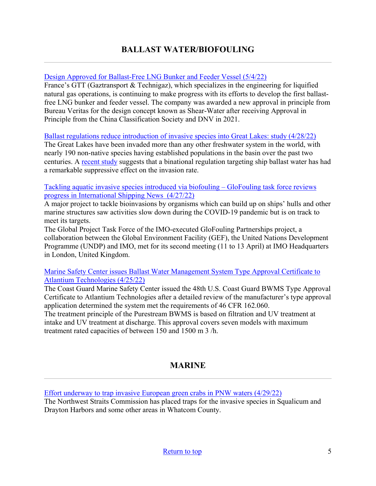### <span id="page-4-0"></span>[Design Approved for Ballast-Free LNG Bunker and Feeder Vessel \(5/4/22\)](https://www.maritime-executive.com/article/design-approved-for-ballast-free-lng-bunker-and-feeder-vessel)

France's GTT (Gaztransport & Technigaz), which specializes in the engineering for liquified natural gas operations, is continuing to make progress with its efforts to develop the first ballastfree LNG bunker and feeder vessel. The company was awarded a new approval in principle from Bureau Veritas for the design concept known as Shear-Water after receiving Approval in Principle from the China Classification Society and DNV in 2021.

[Ballast regulations reduce introduction of invasive species into Great Lakes: study \(4/28/22\)](https://www.thestar.com/news/canada/2022/04/28/ballast-regulations-reduce-introduction-of-invasive-species-into-great-lakes-study.html)

The Great Lakes have been invaded more than any other freshwater system in the world, with nearly 190 non-native species having established populations in the basin over the past two centuries. A [recent study](https://conbio.onlinelibrary.wiley.com/doi/10.1111/conl.12866) suggests that a binational regulation targeting ship ballast water has had a remarkable suppressive effect on the invasion rate.

[Tackling aquatic invasive species introduced via biofouling – GloFouling task force reviews](https://www.hellenicshippingnews.com/tackling-aquatic-invasive-species-introduced-via-biofouling-glofouling-task-force-reviews-progress/)  [progress in International Shipping News \(4/27/22\)](https://www.hellenicshippingnews.com/tackling-aquatic-invasive-species-introduced-via-biofouling-glofouling-task-force-reviews-progress/)

A major project to tackle bioinvasions by organisms which can build up on ships' hulls and other marine structures saw activities slow down during the COVID-19 pandemic but is on track to meet its targets.

The Global Project Task Force of the IMO-executed GloFouling Partnerships project, a collaboration between the Global Environment Facility (GEF), the United Nations Development Programme (UNDP) and IMO, met for its second meeting (11 to 13 April) at IMO Headquarters in London, United Kingdom.

[Marine Safety Center issues Ballast Water Management](https://mariners.coastguard.blog/2022/04/25/marine-safety-center-issues-ballast-water-management-system-type-approval-certificate-to-atlantium-technologies/?utm_source=feedburner&utm_medium=email) System Type Approval Certificate to [Atlantium Technologies \(4/25/22\)](https://mariners.coastguard.blog/2022/04/25/marine-safety-center-issues-ballast-water-management-system-type-approval-certificate-to-atlantium-technologies/?utm_source=feedburner&utm_medium=email)

The Coast Guard Marine Safety Center issued the 48th U.S. Coast Guard BWMS Type Approval Certificate to Atlantium Technologies after a detailed review of the manufacturer's type approval application determined the system met the requirements of 46 CFR 162.060.

The treatment principle of the Purestream BWMS is based on filtration and UV treatment at intake and UV treatment at discharge. This approval covers seven models with maximum treatment rated capacities of between 150 and 1500 m 3 /h.

## **MARINE**

<span id="page-4-2"></span><span id="page-4-1"></span>[Effort underway to trap invasive European green crabs in PNW waters \(4/29/22\)](https://kgmi.com/news/007700-effort-underway-to-trap-invasive-european-green-crabs-in-pnw-waters/)

The Northwest Straits Commission has placed traps for the invasive species in Squalicum and Drayton Harbors and some other areas in Whatcom County.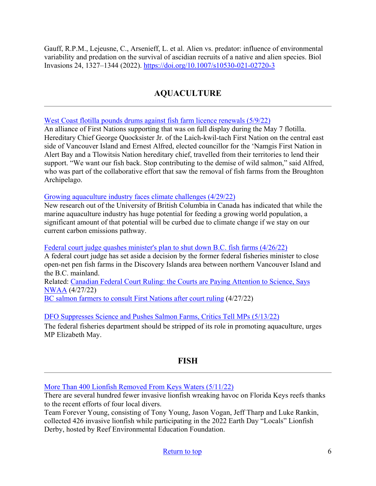Gauff, R.P.M., Lejeusne, C., Arsenieff, L. et al. Alien vs. predator: influence of environmental variability and predation on the survival of ascidian recruits of a native and alien species. Biol Invasions 24, 1327–1344 (2022).<https://doi.org/10.1007/s10530-021-02720-3>

## **AQUACULTURE**

[West Coast flotilla pounds drums against fish farm licence renewals \(5/9/22\)](https://www.vicnews.com/news/west-coast-flotilla-pounds-drums-against-fish-farm-licence-renewals/)

An alliance of First Nations supporting that was on full display during the May 7 flotilla. Hereditary Chief George Quocksister Jr. of the Laich-kwil-tach First Nation on the central east side of Vancouver Island and Ernest Alfred, elected councillor for the 'Namgis First Nation in Alert Bay and a Tlowitsis Nation hereditary chief, travelled from their territories to lend their support. "We want our fish back. Stop contributing to the demise of wild salmon," said Alfred, who was part of the collaborative effort that saw the removal of fish farms from the Broughton Archipelago.

[Growing aquaculture industry faces climate challenges \(4/29/22\)](https://coastalreview.org/2022/04/growing-aquaculture-industry-faces-climate-challenges/)

New research out of the University of British Columbia in Canada has indicated that while the marine aquaculture industry has huge potential for feeding a growing world population, a significant amount of that potential will be curbed due to climate change if we stay on our current carbon emissions pathway.

#### [Federal court judge quashes minister's plan to shut down B.C. fish farms \(4/26/22\)](https://vancouverisland.ctvnews.ca/federal-court-judge-quashes-minister-s-plan-to-shut-down-b-c-fish-farms-1.5876894)

A federal court judge has set aside a decision by the former federal fisheries minister to close open-net pen fish farms in the Discovery Islands area between northern Vancouver Island and the B.C. mainland.

Related: [Canadian Federal Court Ruling: the Courts are Paying Attention to Science, Says](https://www.perishablenews.com/seafood/canadian-federal-court-ruling-the-courts-are-paying-attention-to-science-says-nwaa/)  [NWAA](https://www.perishablenews.com/seafood/canadian-federal-court-ruling-the-courts-are-paying-attention-to-science-says-nwaa/) (4/27/22)

[BC salmon farmers to consult First Nations after court ruling](https://www.fishfarmermagazine.com/news/bc-salmon-farmers-to-consult-first-nations-after-court-ruling/) (4/27/22)

[DFO Suppresses Science and Pushes Salmon Farms, Critics Tell MPs \(5/13/22\)](https://thetyee.ca/News/2022/05/13/DFO-Suppresses-Science-Pushes-Salmon-Farms/) 

The federal fisheries department should be stripped of its role in promoting aquaculture, urges MP Elizabeth May.

## **FISH**

<span id="page-5-0"></span>[More Than 400 Lionfish Removed From Keys Waters \(5/11/22\)](https://keysweekly.com/42/more-than-400-lionfish-removed-from-keys-waters/)

There are several hundred fewer invasive lionfish wreaking havoc on Florida Keys reefs thanks to the recent efforts of four local divers.

Team Forever Young, consisting of Tony Young, Jason Vogan, Jeff Tharp and Luke Rankin, collected 426 invasive lionfish while participating in the 2022 Earth Day "Locals" Lionfish Derby, hosted by Reef Environmental Education Foundation.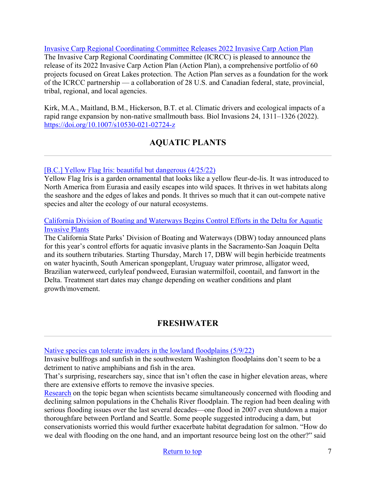[Invasive Carp Regional Coordinating Committee Releases 2022 Invasive Carp Action Plan](http://www.invasivecarp.us/) The Invasive Carp Regional Coordinating Committee (ICRCC) is pleased to announce the release of its 2022 Invasive Carp Action Plan (Action Plan), a comprehensive portfolio of 60 projects focused on Great Lakes protection. The Action Plan serves as a foundation for the work of the ICRCC partnership — a collaboration of 28 U.S. and Canadian federal, state, provincial, tribal, regional, and local agencies.

Kirk, M.A., Maitland, B.M., Hickerson, B.T. et al. Climatic drivers and ecological impacts of a rapid range expansion by non-native smallmouth bass. Biol Invasions 24, 1311–1326 (2022). <https://doi.org/10.1007/s10530-021-02724-z>

# **AQUATIC PLANTS**

### <span id="page-6-0"></span>[\[B.C.\] Yellow Flag Iris: beautiful but dangerous \(4/25/22\)](https://www.westerlynews.ca/community/yellow-flag-iris-beautiful-but-dangerous/)

Yellow Flag Iris is a garden ornamental that looks like a yellow fleur-de-lis. It was introduced to North America from Eurasia and easily escapes into wild spaces. It thrives in wet habitats along the seashore and the edges of lakes and ponds. It thrives so much that it can out-compete native species and alter the ecology of our natural ecosystems.

#### [California Division of Boating and Waterways Begins Control Efforts in the Delta for Aquatic](https://www.parks.ca.gov/NewsRelease/1065?utm_medium=email&utm_source=govdelivery)  [Invasive Plants](https://www.parks.ca.gov/NewsRelease/1065?utm_medium=email&utm_source=govdelivery)

The California State Parks' Division of Boating and Waterways (DBW) today announced plans for this year's control efforts for aquatic invasive plants in the Sacramento-San Joaquin Delta and its southern tributaries. Starting Thursday, March 17, DBW will begin herbicide treatments on water hyacinth, South American spongeplant, Uruguay water primrose, alligator weed, Brazilian waterweed, curlyleaf pondweed, Eurasian watermilfoil, coontail, and fanwort in the Delta. Treatment start dates may change depending on weather conditions and plant growth/movement.

## **FRESHWATER**

<span id="page-6-1"></span>[Native species can tolerate invaders in the lowland floodplains \(5/9/22\)](https://wildlife.org/native-species-can-tolerate-invaders-in-the-lowland-floodplains/?utm_medium=email&utm_source=getresponse&utm_content=This%20Week%27s%20eWildlifer%20%26%20TWS%20Talks&utm_campaign=)

Invasive bullfrogs and sunfish in the southwestern Washington floodplains don't seem to be a detriment to native amphibians and fish in the area.

That's surprising, researchers say, since that isn't often the case in higher elevation areas, where there are extensive efforts to remove the invasive species.

[Research](https://www.journals.uchicago.edu/doi/10.1086/720137) on the topic began when scientists became simultaneously concerned with flooding and declining salmon populations in the Chehalis River floodplain. The region had been dealing with serious flooding issues over the last several decades—one flood in 2007 even shutdown a major thoroughfare between Portland and Seattle. Some people suggested introducing a dam, but conservationists worried this would further exacerbate habitat degradation for salmon. "How do we deal with flooding on the one hand, and an important resource being lost on the other?" said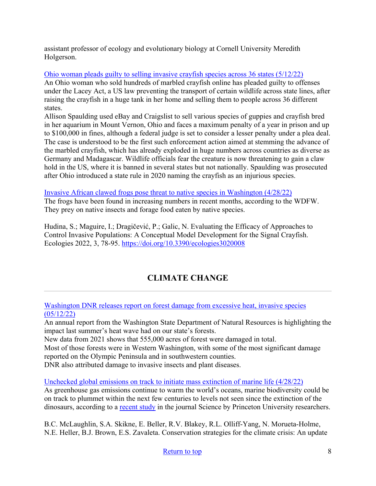assistant professor of ecology and evolutionary biology at Cornell University Meredith Holgerson.

[Ohio woman pleads guilty to selling invasive crayfish species across 36 states \(5/12/22\)](https://www.theguardian.com/environment/2022/may/12/ohio-woman-marbled-crayfish-invasive-species)

An Ohio woman who sold hundreds of marbled crayfish online has pleaded guilty to offenses under the Lacey Act, a US law preventing the transport of certain wildlife across state lines, after raising the crayfish in a huge tank in her home and selling them to people across 36 different states.

Allison Spaulding used eBay and Craigslist to sell various species of guppies and crayfish bred in her aquarium in Mount Vernon, Ohio and faces a maximum penalty of a year in prison and up to \$100,000 in fines, although a federal judge is set to consider a lesser penalty under a plea deal. The case is understood to be the first such enforcement action aimed at stemming the advance of the marbled crayfish, which has already exploded in huge numbers across countries as diverse as Germany and Madagascar. Wildlife officials fear the creature is now threatening to gain a claw hold in the US, where it is banned in several states but not nationally. Spaulding was prosecuted after Ohio introduced a state rule in 2020 naming the crayfish as an injurious species.

[Invasive African clawed frogs pose threat to native species in Washington \(4/28/22\)](https://www.king5.com/article/tech/science/environment/invasive-african-clawed-frogs-population-growing-in-washington/281-db342b8d-5c11-4c9c-b731-81447085ae6e) The frogs have been found in increasing numbers in recent months, according to the WDFW. They prey on native insects and forage food eaten by native species.

Hudina, S.; Maguire, I.; Dragičević, P.; Galic, N. Evaluating the Efficacy of Approaches to Control Invasive Populations: A Conceptual Model Development for the Signal Crayfish. Ecologies 2022, 3, 78-95.<https://doi.org/10.3390/ecologies3020008>

# **CLIMATE CHANGE**

<span id="page-7-0"></span>[Washington DNR releases report on forest damage from excessive heat, invasive species](https://kgmi.com/news/007700-washington-dnr-releases-report-on-forest-damage-from-excessive-heat-invasive-species/)  [\(05/12/22\)](https://kgmi.com/news/007700-washington-dnr-releases-report-on-forest-damage-from-excessive-heat-invasive-species/)

An annual report from the Washington State Department of Natural Resources is highlighting the impact last summer's heat wave had on our state's forests.

New data from 2021 shows that 555,000 acres of forest were damaged in total.

Most of those forests were in Western Washington, with some of the most significant damage reported on the Olympic Peninsula and in southwestern counties.

DNR also attributed damage to invasive insects and plant diseases.

[Unchecked global emissions on track to initiate mass extinction of marine life \(4/28/22\)](https://www.princeton.edu/news/2022/04/28/unchecked-global-emissions-track-initiate-mass-extinction-marine-life)

As greenhouse gas emissions continue to warm the world's oceans, marine biodiversity could be on track to plummet within the next few centuries to levels not seen since the extinction of the dinosaurs, according to a [recent study](https://www.science.org/doi/10.1126/science.abe9039) in the journal Science by Princeton University researchers.

B.C. McLaughlin, S.A. Skikne, E. Beller, R.V. Blakey, R.L. Olliff-Yang, N. Morueta-Holme, N.E. Heller, B.J. Brown, E.S. Zavaleta. Conservation strategies for the climate crisis: An update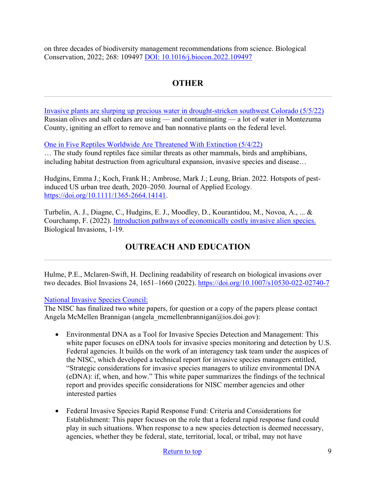on three decades of biodiversity management recommendations from science. Biological Conservation, 2022; 268: 109497 [DOI: 10.1016/j.biocon.2022.109497](https://www.sciencedirect.com/science/article/abs/pii/S0006320722000507?via%3Dihub)

# **OTHER**

<span id="page-8-0"></span>[Invasive plants are slurping up precious water in drought-stricken southwest Colorado \(5/5/22\)](https://coloradosun.com/2022/05/05/invasive-species-water-contamination/) Russian olives and salt cedars are using — and contaminating — a lot of water in Montezuma County, igniting an effort to remove and ban nonnative plants on the federal level.

#### [One in Five Reptiles Worldwide Are Threatened With Extinction \(5/4/22\)](https://www.smithsonianmag.com/smart-news/one-in-five-reptiles-worldwide-are-threatened-with-extinction-180980017/)

… The study found reptiles face similar threats as other mammals, birds and amphibians, including habitat destruction from agricultural expansion, invasive species and disease…

Hudgins, Emma J.; Koch, Frank H.; Ambrose, Mark J.; Leung, Brian. 2022. Hotspots of pestinduced US urban tree death, 2020–2050. Journal of Applied Ecology. [https://doi.org/10.1111/1365-2664.14141.](https://doi.org/10.1111/1365-2664.14141)

Turbelin, A. J., Diagne, C., Hudgins, E. J., Moodley, D., Kourantidou, M., Novoa, A., ... & Courchamp, F. (2022). [Introduction pathways of economically costly invasive alien species.](https://link.springer.com/article/10.1007/s10530-022-02796-5?utm_medium=email&utm_source=govdelivery) Biological Invasions, 1-19.

# <span id="page-8-1"></span>**OUTREACH AND EDUCATION**

Hulme, P.E., Mclaren-Swift, H. Declining readability of research on biological invasions over two decades. Biol Invasions 24, 1651–1660 (2022).<https://doi.org/10.1007/s10530-022-02740-7>

#### [National Invasive Species Council:](https://www.doi.gov/invasivespecies)

The NISC has finalized two white papers, for question or a copy of the papers please contact Angela McMellen Brannigan (angela\_mcmellenbrannigan@ios.doi.gov):

- Environmental DNA as a Tool for Invasive Species Detection and Management: This white paper focuses on eDNA tools for invasive species monitoring and detection by U.S. Federal agencies. It builds on the work of an interagency task team under the auspices of the NISC, which developed a technical report for invasive species managers entitled, "Strategic considerations for invasive species managers to utilize environmental DNA (eDNA): if, when, and how." This white paper summarizes the findings of the technical report and provides specific considerations for NISC member agencies and other interested parties
- Federal Invasive Species Rapid Response Fund: Criteria and Considerations for Establishment: This paper focuses on the role that a federal rapid response fund could play in such situations. When response to a new species detection is deemed necessary, agencies, whether they be federal, state, territorial, local, or tribal, may not have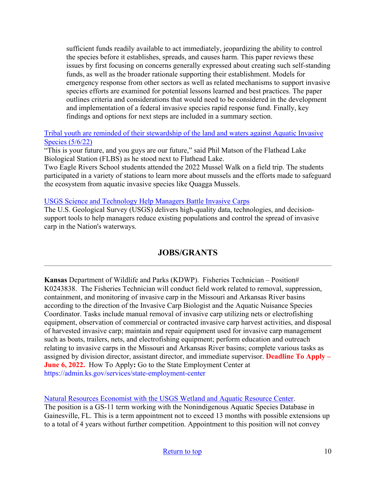sufficient funds readily available to act immediately, jeopardizing the ability to control the species before it establishes, spreads, and causes harm. This paper reviews these issues by first focusing on concerns generally expressed about creating such self-standing funds, as well as the broader rationale supporting their establishment. Models for emergency response from other sectors as well as related mechanisms to support invasive species efforts are examined for potential lessons learned and best practices. The paper outlines criteria and considerations that would need to be considered in the development and implementation of a federal invasive species rapid response fund. Finally, key findings and options for next steps are included in a summary section.

#### [Tribal youth are reminded of their stewardship of the land and waters against Aquatic Invasive](http://www.charkoosta.com/news/tribal-youth-are-reminded-of-their-stewardship-of-the-land-and-waters-against-aquatic-invasive/article_4968ff6c-cdb7-11ec-b812-bf12f5d038a5.html)  [Species \(5/6/22\)](http://www.charkoosta.com/news/tribal-youth-are-reminded-of-their-stewardship-of-the-land-and-waters-against-aquatic-invasive/article_4968ff6c-cdb7-11ec-b812-bf12f5d038a5.html)

"This is your future, and you guys are our future," said Phil Matson of the Flathead Lake Biological Station (FLBS) as he stood next to Flathead Lake.

Two Eagle Rivers School students attended the 2022 Mussel Walk on a field trip. The students participated in a variety of stations to learn more about mussels and the efforts made to safeguard the ecosystem from aquatic invasive species like Quagga Mussels.

#### [USGS Science and Technology Help Managers Battle Invasive Carps](https://usgs.maps.arcgis.com/apps/Cascade/index.html?appid=b091ab5fbb7946768b19384b500bac24&utm_source=feedburner&utm_medium=email)

The U.S. Geological Survey (USGS) delivers high-quality data, technologies, and decisionsupport tools to help managers reduce existing populations and control the spread of invasive carp in the Nation's waterways.

# **JOBS/GRANTS**

**Kansas** Department of Wildlife and Parks (KDWP). Fisheries Technician – Position# K0243838. The Fisheries Technician will conduct field work related to removal, suppression, containment, and monitoring of invasive carp in the Missouri and Arkansas River basins according to the direction of the Invasive Carp Biologist and the Aquatic Nuisance Species Coordinator. Tasks include manual removal of invasive carp utilizing nets or electrofishing equipment, observation of commercial or contracted invasive carp harvest activities, and disposal of harvested invasive carp; maintain and repair equipment used for invasive carp management such as boats, trailers, nets, and electrofishing equipment; perform education and outreach relating to invasive carps in the Missouri and Arkansas River basins; complete various tasks as assigned by division director, assistant director, and immediate supervisor. **Deadline To Apply – June 6, 2022.** How To Apply**:** Go to the State Employment Center at https://admin.ks.gov/services/state-employment-center

[Natural Resources Economist with the USGS Wetland and Aquatic Resource Center.](https://www.usajobs.gov/job/653911700/print)

The position is a GS-11 term working with the Nonindigenous Aquatic Species Database in Gainesville, FL. This is a term appointment not to exceed 13 months with possible extensions up to a total of 4 years without further competition. Appointment to this position will not convey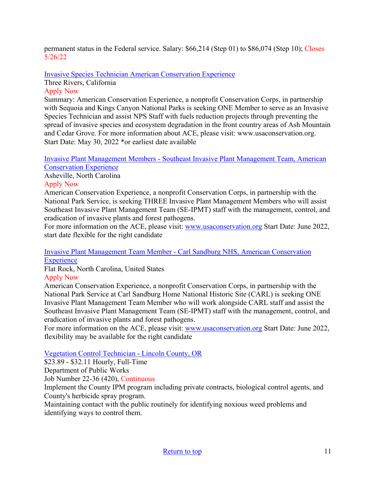permanent status in the Federal service. Salary: \$66,214 (Step 01) to \$86,074 (Step 10); Closes 5/26/22

[Invasive Species Technician American Conservation Experience](https://careers.wildlife.org/jobs/view/invasive-species-technician-sequoia-and-kings-canyon-national-parks/62976691/?utm_term=2&utm_medium=email&utm_source=daily-alert&utm_campaign=job-alert-email-8764&utm_content=position-title)

Three Rivers, California

#### Apply Now

Summary: American Conservation Experience, a nonprofit Conservation Corps, in partnership with Sequoia and Kings Canyon National Parks is seeking ONE Member to serve as an Invasive Species Technician and assist NPS Staff with fuels reduction projects through preventing the spread of invasive species and ecosystem degradation in the front country areas of Ash Mountain and Cedar Grove. For more information about ACE, please visit: www.usaconservation.org. Start Date: May 30, 2022 \*or earliest date available

[Invasive Plant Management Members - Southeast Invasive Plant Management Team, American](https://careers.wildlife.org/jobs/view/invasive-plant-management-members-southeast-invasive-plant-management-team/63213041/?utm_term=2&utm_medium=email&utm_source=daily-alert&utm_campaign=job-alert-email-8764&utm_content=position-title)  [Conservation Experience](https://careers.wildlife.org/jobs/view/invasive-plant-management-members-southeast-invasive-plant-management-team/63213041/?utm_term=2&utm_medium=email&utm_source=daily-alert&utm_campaign=job-alert-email-8764&utm_content=position-title) 

Asheville, North Carolina

### Apply Now

American Conservation Experience, a nonprofit Conservation Corps, in partnership with the National Park Service, is seeking THREE Invasive Plant Management Members who will assist Southeast Invasive Plant Management Team (SE-IPMT) staff with the management, control, and eradication of invasive plants and forest pathogens.

For more information on the ACE, please visit: [www.usaconservation.org](http://www.usaconservation.org/) Start Date: June 2022, start date flexible for the right candidate

#### [Invasive Plant Management Team Member - Carl Sandburg NHS, American Conservation](https://careers.wildlife.org/jobs/view/invasive-plant-management-team-member-carl-sandburg-nhs/63213045/?utm_term=2&utm_medium=email&utm_source=daily-alert&utm_campaign=job-alert-email-8764&utm_content=position-title)  **[Experience](https://careers.wildlife.org/jobs/view/invasive-plant-management-team-member-carl-sandburg-nhs/63213045/?utm_term=2&utm_medium=email&utm_source=daily-alert&utm_campaign=job-alert-email-8764&utm_content=position-title)**

Flat Rock, North Carolina, United States

#### Apply Now

American Conservation Experience, a nonprofit Conservation Corps, in partnership with the National Park Service at Carl Sandburg Home National Historic Site (CARL) is seeking ONE Invasive Plant Management Team Member who will work alongside CARL staff and assist the Southeast Invasive Plant Management Team (SE-IPMT) staff with the management, control, and eradication of invasive plants and forest pathogens.

For more information on the ACE, please visit: [www.usaconservation.org](http://www.usaconservation.org/) Start Date: June 2022, flexibility may be available for the right candidate

#### [Vegetation Control Technician - Lincoln County, OR](https://www.governmentjobs.com/careers/lincoln/jobs/3490326/vegetation-control-technician)

\$23.89 - \$32.11 Hourly, Full-Time

Department of Public Works

Job Number 22-36 (420), Continuous

Implement the County IPM program including private contracts, biological control agents, and County's herbicide spray program.

Maintaining contact with the public routinely for identifying noxious weed problems and identifying ways to control them.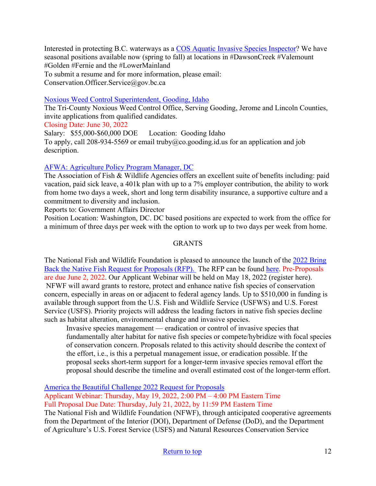Interested in protecting B.C. waterways as a [COS Aquatic Invasive Species Inspector?](https://www.castanet.net/news/BC/367857/Conservation-service-looking-for-a-few-good-aquatic-officers) We have seasonal positions available now (spring to fall) at locations in #DawsonCreek #Valemount #Golden #Fernie and the #LowerMainland To submit a resume and for more information, please email: Conservation.Officer.Service@gov.bc.ca

#### [Noxious Weed Control Superintendent, Gooding, Idaho](https://www.goodingcounty.org/CivicAlerts.aspx?AID=181)

The Tri-County Noxious Weed Control Office, Serving Gooding, Jerome and Lincoln Counties, invite applications from qualified candidates.

Closing Date: June 30, 2022

Salary: \$55,000-\$60,000 DOE Location: Gooding Idaho To apply, call 208-934-5569 or email truby  $@co. gooding.$  id.us for an application and job description.

#### [AFWA: Agriculture Policy Program Manager, DC](https://careers.wildlife.org/jobs/view/agriculture-policy-program-manager/62938381/?utm_medium=email&utm_source=getresponse&utm_content=This%20Week%27s%20eWildlifer%20%26%20TWS%20Talks&utm_campaign=)

The Association of Fish & Wildlife Agencies offers an excellent suite of benefits including: paid vacation, paid sick leave, a 401k plan with up to a 7% employer contribution, the ability to work from home two days a week, short and long term disability insurance, a supportive culture and a commitment to diversity and inclusion.

Reports to: Government Affairs Director

Position Location: Washington, DC. DC based positions are expected to work from the office for a minimum of three days per week with the option to work up to two days per week from home.

#### **GRANTS**

The National Fish and Wildlife Foundation is pleased to announce the launch of the [2022 Bring](https://www.nfwf.org/programs/bring-back-native-fish/bring-back-native-fish-2022-request-proposals)  [Back the Native Fish Request for Proposals \(RFP\).](https://www.nfwf.org/programs/bring-back-native-fish/bring-back-native-fish-2022-request-proposals) The RFP can be found [here.](https://www.nfwf.org/programs/bring-back-native-fish/bring-back-native-fish-2022-request-proposals) Pre-Proposals are due June 2, 2022. Our Applicant Webinar will be held on May 18, 2022 (register here). NFWF will award grants to restore, protect and enhance native fish species of conservation concern, especially in areas on or adjacent to federal agency lands. Up to \$510,000 in funding is available through support from the U.S. Fish and Wildlife Service (USFWS) and U.S. Forest Service (USFS). Priority projects will address the leading factors in native fish species decline such as habitat alteration, environmental change and invasive species.

Invasive species management — eradication or control of invasive species that fundamentally alter habitat for native fish species or compete/hybridize with focal species of conservation concern. Proposals related to this activity should describe the context of the effort, i.e., is this a perpetual management issue, or eradication possible. If the proposal seeks short-term support for a longer-term invasive species removal effort the proposal should describe the timeline and overall estimated cost of the longer-term effort.

[America the Beautiful Challenge 2022 Request for Proposals](https://www.nfwf.org/programs/america-beautiful-challenge/america-beautiful-challenge-2022-request-proposals)

Applicant Webinar: Thursday, May 19, 2022, 2:00 PM – 4:00 PM Eastern Time

Full Proposal Due Date: Thursday, July 21, 2022, by 11:59 PM Eastern Time

The National Fish and Wildlife Foundation (NFWF), through anticipated cooperative agreements from the Department of the Interior (DOI), Department of Defense (DoD), and the Department of Agriculture's U.S. Forest Service (USFS) and Natural Resources Conservation Service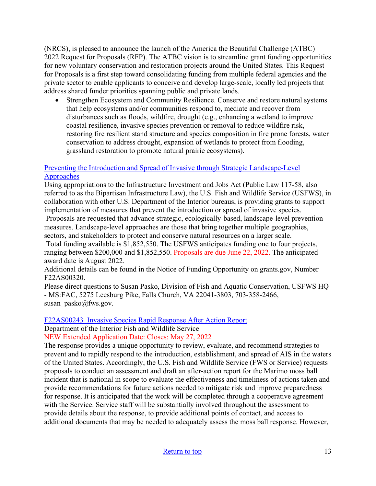(NRCS), is pleased to announce the launch of the America the Beautiful Challenge (ATBC) 2022 Request for Proposals (RFP). The ATBC vision is to streamline grant funding opportunities for new voluntary conservation and restoration projects around the United States. This Request for Proposals is a first step toward consolidating funding from multiple federal agencies and the private sector to enable applicants to conceive and develop large-scale, locally led projects that address shared funder priorities spanning public and private lands.

• Strengthen Ecosystem and Community Resilience. Conserve and restore natural systems that help ecosystems and/or communities respond to, mediate and recover from disturbances such as floods, wildfire, drought (e.g., enhancing a wetland to improve coastal resilience, invasive species prevention or removal to reduce wildfire risk, restoring fire resilient stand structure and species composition in fire prone forests, water conservation to address drought, expansion of wetlands to protect from flooding, grassland restoration to promote natural prairie ecosystems).

#### [Preventing the Introduction and Spread of Invasive through Strategic Landscape-Level](https://www.grants.gov/web/grants/search-grants.html?keywords=f22as00320)  [Approaches](https://www.grants.gov/web/grants/search-grants.html?keywords=f22as00320)

Using appropriations to the Infrastructure Investment and Jobs Act (Public Law 117-58, also referred to as the Bipartisan Infrastructure Law), the U.S. Fish and Wildlife Service (USFWS), in collaboration with other U.S. Department of the Interior bureaus, is providing grants to support implementation of measures that prevent the introduction or spread of invasive species.

Proposals are requested that advance strategic, ecologically-based, landscape-level prevention measures. Landscape-level approaches are those that bring together multiple geographies, sectors, and stakeholders to protect and conserve natural resources on a larger scale.

 Total funding available is \$1,852,550. The USFWS anticipates funding one to four projects, ranging between \$200,000 and \$1,852,550. Proposals are due June 22, 2022. The anticipated award date is August 2022.

Additional details can be found in the Notice of Funding Opportunity on grants.gov, Number F22AS00320.

Please direct questions to Susan Pasko, Division of Fish and Aquatic Conservation, USFWS HQ - MS:FAC, 5275 Leesburg Pike, Falls Church, VA 22041-3803, 703-358-2466, susan\_pasko@fws.gov.

#### [F22AS00243 Invasive Species Rapid Response After Action Report](https://www.grants.gov/web/grants/view-opportunity.html?oppId=338303)

Department of the Interior Fish and Wildlife Service

NEW Extended Application Date: Closes: May 27, 2022

The response provides a unique opportunity to review, evaluate, and recommend strategies to prevent and to rapidly respond to the introduction, establishment, and spread of AIS in the waters of the United States. Accordingly, the U.S. Fish and Wildlife Service (FWS or Service) requests proposals to conduct an assessment and draft an after-action report for the Marimo moss ball incident that is national in scope to evaluate the effectiveness and timeliness of actions taken and provide recommendations for future actions needed to mitigate risk and improve preparedness for response. It is anticipated that the work will be completed through a cooperative agreement with the Service. Service staff will be substantially involved throughout the assessment to provide details about the response, to provide additional points of contact, and access to additional documents that may be needed to adequately assess the moss ball response. However,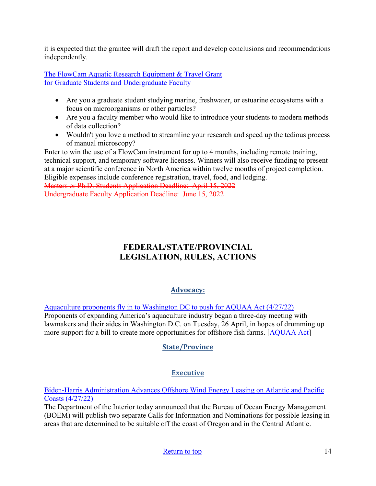it is expected that the grantee will draft the report and develop conclusions and recommendations independently.

[The FlowCam Aquatic Research Equipment & Travel Grant](https://info.fluidimaging.com/flowcam-student-grant-2022?utm_campaign=FlowCam%20Student%20Grant%20Program%20-%202022&utm_medium=email&_hsmi=201999501&_hsenc=p2ANqtz-8ocExbgopRtkyNWxi0ljPjBorrFvK_wIwUD_KR7epglcNO-AO_DQ4NmoDkrNWY7LVtQd1Pk4pv8bA1I0u-TD5hWn2IAw&utm_content=201914302&utm_source=hs_email) [for Graduate Students and Undergraduate Faculty](https://info.fluidimaging.com/flowcam-student-grant-2022?utm_campaign=FlowCam%20Student%20Grant%20Program%20-%202022&utm_medium=email&_hsmi=201999501&_hsenc=p2ANqtz-8ocExbgopRtkyNWxi0ljPjBorrFvK_wIwUD_KR7epglcNO-AO_DQ4NmoDkrNWY7LVtQd1Pk4pv8bA1I0u-TD5hWn2IAw&utm_content=201914302&utm_source=hs_email) 

- Are you a graduate student studying marine, freshwater, or estuarine ecosystems with a focus on microorganisms or other particles?
- Are you a faculty member who would like to introduce your students to modern methods of data collection?
- Wouldn't you love a method to streamline your research and speed up the tedious process of manual microscopy?

Enter to win the use of a FlowCam instrument for up to 4 months, including remote training, technical support, and temporary software licenses. Winners will also receive funding to present at a major scientific conference in North America within twelve months of project completion. Eligible expenses include conference registration, travel, food, and lodging.

<span id="page-13-0"></span>Masters or Ph.D. Students Application Deadline: April 15, 2022 Undergraduate Faculty Application Deadline: June 15, 2022

# **FEDERAL/STATE/PROVINCIAL LEGISLATION, RULES, ACTIONS**

### **Advocacy:**

[Aquaculture proponents fly in to Washington DC to push for AQUAA Act \(4/27/22\)](https://www.seafoodsource.com/news/aquaculture/aquaculture-proponents-fly-in-to-washington-dc-to-push-for-aquaa-act) 

Proponents of expanding America's aquaculture industry began a three-day meeting with lawmakers and their aides in Washington D.C. on Tuesday, 26 April, in hopes of drumming up more support for a bill to create more opportunities for offshore fish farms. [\[AQUAA Act\]](https://www.congress.gov/bill/117th-congress/senate-bill/3100?q=%7B%22search%22%3A%5B%22AQUAA%22%2C%22AQUAA%22%5D%7D&s=1&r=2)

### **State/Province**

### **Executive**

#### [Biden-Harris Administration Advances Offshore Wind Energy Leasing on Atlantic and Pacific](https://doi.gov/pressreleases/biden-harris-administration-advances-offshore-wind-energy-leasing-atlantic-and-pacific)  [Coasts \(4/27/22\)](https://doi.gov/pressreleases/biden-harris-administration-advances-offshore-wind-energy-leasing-atlantic-and-pacific)

The Department of the Interior today announced that the Bureau of Ocean Energy Management (BOEM) will publish two separate Calls for Information and Nominations for possible leasing in areas that are determined to be suitable off the coast of Oregon and in the Central Atlantic.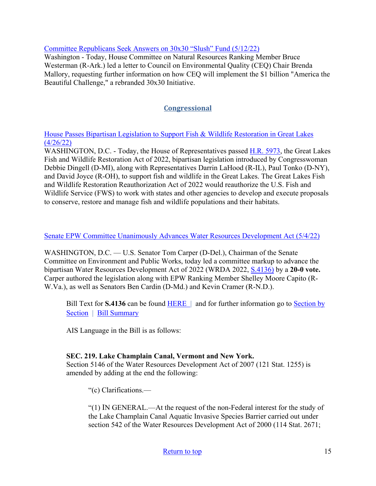#### [Committee Republicans Seek Answers on 30x30 "Slush" Fund \(5/12/22\)](https://republicans-naturalresources.house.gov/newsroom/documentsingle.aspx?DocumentID=411046)

Washington - Today, House Committee on Natural Resources Ranking Member Bruce Westerman (R-Ark.) led a letter to Council on Environmental Quality (CEQ) Chair Brenda Mallory, requesting further information on how CEQ will implement the \$1 billion "America the Beautiful Challenge," a rebranded 30x30 Initiative.

### **Congressional**

[House Passes Bipartisan Legislation to Support Fish & Wildlife Restoration in Great Lakes](https://debbiedingell.house.gov/news/documentsingle.aspx?DocumentID=3419)  [\(4/26/22\)](https://debbiedingell.house.gov/news/documentsingle.aspx?DocumentID=3419)

WASHINGTON, D.C. - Today, the House of Representatives passed [H.R. 5973,](https://www.congress.gov/117/bills/hr5973/BILLS-117hr5973ih.pdf) the Great Lakes Fish and Wildlife Restoration Act of 2022, bipartisan legislation introduced by Congresswoman Debbie Dingell (D-MI), along with Representatives Darrin LaHood (R-IL), Paul Tonko (D-NY), and David Joyce (R-OH), to support fish and wildlife in the Great Lakes. The Great Lakes Fish and Wildlife Restoration Reauthorization Act of 2022 would reauthorize the U.S. Fish and Wildlife Service (FWS) to work with states and other agencies to develop and execute proposals to conserve, restore and manage fish and wildlife populations and their habitats.

#### Senate [EPW Committee Unanimously Advances Water Resources Development Act \(5/4/22\)](https://www.epw.senate.gov/public/index.cfm/press-releases-democratic?ID=30E3737E-B3BA-49BB-9844-1DB9E85194AB)

WASHINGTON, D.C. — U.S. Senator Tom Carper (D-Del.), Chairman of the Senate Committee on Environment and Public Works, today led a committee markup to advance the bipartisan Water Resources Development Act of 2022 (WRDA 2022, [S.4136\)](https://www.congress.gov/bill/117th-congress/senate-bill/4136?q=%7B%22search%22%3A%5B%22Water+Resources+Development+Act%22%2C%22Water%22%2C%22Resources%22%2C%22Development%22%2C%22Act%22%5D%7D&s=1&r=2) by a **20-0 vote.** Carper authored the legislation along with EPW Ranking Member Shelley Moore Capito (R-W.Va.), as well as Senators Ben Cardin (D-Md.) and Kevin Cramer (R-N.D.).

Bill Text for **S.4136** can be found [HERE |](https://www.congress.gov/bill/117th-congress/senate-bill/4136/text?q=%7B%22search%22%3A%5B%22Water+Resources+Development+Act%22%2C%22Water%22%2C%22Resources%22%2C%22Development%22%2C%22Act%22%5D%7D&r=2&s=1) and for further information go to Section by [Section](https://www.epw.senate.gov/public/_cache/files/6/5/655f4b1f-e22f-40af-8d22-d4f3ae9308a1/AB64D62F76BBD98E7CF1327F7D06EAAF.wrda-2022-section-by-section.pdf) | [Bill Summary](https://www.epw.senate.gov/public/_cache/files/3/b/3ba2242c-dc36-4ac2-9848-b75542517170/FA1E49C501679D56FAE99AFCB7EBC6B5.wrda-2022-bill-summary.pdf)

AIS Language in the Bill is as follows:

### **SEC. 219. Lake Champlain Canal, Vermont and New York.**

Section 5146 of the Water Resources Development Act of 2007 (121 Stat. 1255) is amended by adding at the end the following:

"(c) Clarifications.—

"(1) IN GENERAL.—At the request of the non-Federal interest for the study of the Lake Champlain Canal Aquatic Invasive Species Barrier carried out under section 542 of the Water Resources Development Act of 2000 (114 Stat. 2671;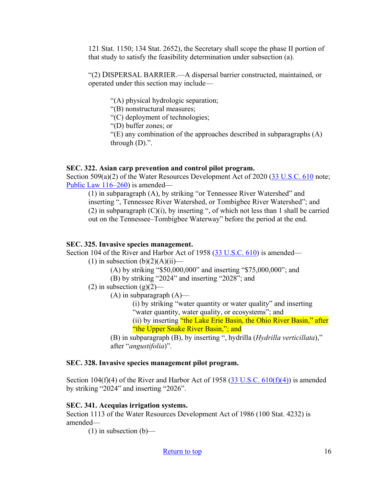121 Stat. 1150; 134 Stat. 2652), the Secretary shall scope the phase II portion of that study to satisfy the feasibility determination under subsection (a).

"(2) DISPERSAL BARRIER.—A dispersal barrier constructed, maintained, or operated under this section may include—

"(A) physical hydrologic separation;

"(B) nonstructural measures;

"(C) deployment of technologies;

"(D) buffer zones; or

"(E) any combination of the approaches described in subparagraphs (A) through (D).".

#### **SEC. 322. Asian carp prevention and control pilot program.**

Section 509(a)(2) of the Water Resources Development Act of 2020 [\(33 U.S.C. 610](http://uscode.house.gov/quicksearch/get.plx?title=33§ion=610) note; [Public Law 116–260\)](https://www.gpo.gov/fdsys/pkg/PLAW-116publ260/pdf/PLAW-116publ260.pdf) is amended—

(1) in subparagraph (A), by striking "or Tennessee River Watershed" and inserting ", Tennessee River Watershed, or Tombigbee River Watershed"; and (2) in subparagraph (C)(i), by inserting ", of which not less than 1 shall be carried out on the Tennessee–Tombigbee Waterway" before the period at the end.

#### **SEC. 325. Invasive species management.**

Section 104 of the River and Harbor Act of 1958 [\(33 U.S.C. 610\)](http://uscode.house.gov/quicksearch/get.plx?title=33§ion=610) is amended—

(1) in subsection  $(b)(2)(A)(ii)$ —

(A) by striking "\$50,000,000" and inserting "\$75,000,000"; and

(B) by striking "2024" and inserting "2028"; and

(2) in subsection  $(g)(2)$ —

 $(A)$  in subparagraph  $(A)$ —

(i) by striking "water quantity or water quality" and inserting "water quantity, water quality, or ecosystems"; and

(ii) by inserting "the Lake Erie Basin, the Ohio River Basin," after "the Upper Snake River Basin,"; and

(B) in subparagraph (B), by inserting ", hydrilla (*Hydrilla verticillata*)," after "*angustifolia*)".

#### **SEC. 328. Invasive species management pilot program.**

Section 104(f)(4) of the River and Harbor Act of 1958 (33 U.S.C.  $610(f)(4)$ ) is amended by striking "2024" and inserting "2026".

#### **SEC. 341. Acequias irrigation systems.**

Section 1113 of the Water Resources Development Act of 1986 (100 Stat. 4232) is amended—

 $(1)$  in subsection  $(b)$ —

[Return to top](#page-0-0) 16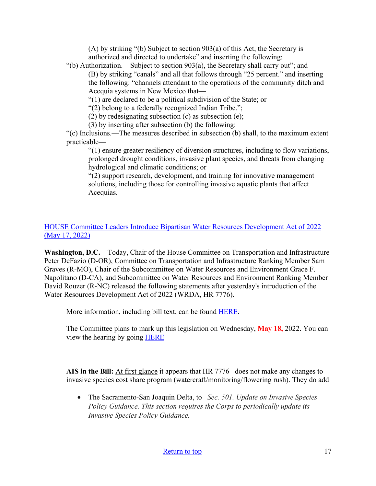(A) by striking "(b) Subject to section 903(a) of this Act, the Secretary is authorized and directed to undertake" and inserting the following:

"(b) Authorization.—Subject to section 903(a), the Secretary shall carry out"; and (B) by striking "canals" and all that follows through "25 percent." and inserting the following: "channels attendant to the operations of the community ditch and Acequia systems in New Mexico that—

"(1) are declared to be a political subdivision of the State; or

"(2) belong to a federally recognized Indian Tribe.";

(2) by redesignating subsection (c) as subsection (e);

(3) by inserting after subsection (b) the following:

"(c) Inclusions.—The measures described in subsection (b) shall, to the maximum extent practicable—

"(1) ensure greater resiliency of diversion structures, including to flow variations, prolonged drought conditions, invasive plant species, and threats from changing hydrological and climatic conditions; or

"(2) support research, development, and training for innovative management solutions, including those for controlling invasive aquatic plants that affect Acequias.

#### [HOUSE Committee Leaders Introduce Bipartisan Water Resources Development Act of 2022](https://transportation.house.gov/news/press-releases/committee-leaders-introduce-bipartisan-water-resources-development-act-of-2022)  [\(May 17, 2022\)](https://transportation.house.gov/news/press-releases/committee-leaders-introduce-bipartisan-water-resources-development-act-of-2022)

**Washington, D.C.** – Today, Chair of the House Committee on Transportation and Infrastructure Peter DeFazio (D-OR), Committee on Transportation and Infrastructure Ranking Member Sam Graves (R-MO), Chair of the Subcommittee on Water Resources and Environment Grace F. Napolitano (D-CA), and Subcommittee on Water Resources and Environment Ranking Member David Rouzer (R-NC) released the following statements after yesterday's introduction of the Water Resources Development Act of 2022 (WRDA, HR 7776).

More information, including bill text, can be found [HERE.](https://urldefense.com/v3/__https:/house.us20.list-manage.com/track/click?u=85220b6e1ea3bed4c8ffd1ad0&id=811acbdc6b&e=46ccfabc99__;!!Bg5easoyC-OII2vlEqY8mTBrtW-N4OJKAQ!ZA57LbV2sJ8ijimvv6SmKtMdYnREiT9o0YIT3mZhDBLk1Ao4hLGiiE5Dtk5oP1gGb3nKkzQu$)

The Committee plans to mark up this legislation on Wednesday, **May 18,** 2022. You can view the hearing by going [HERE](https://transportation.house.gov/committee-activity/hearings/05/16/2022/full-committee-markup)

**AIS in the Bill:** At first glance it appears that HR 7776 does not make any changes to invasive species cost share program (watercraft/monitoring/flowering rush). They do add

• The Sacramento-San Joaquin Delta, to *Sec. 501. Update on Invasive Species Policy Guidance. This section requires the Corps to periodically update its Invasive Species Policy Guidance.*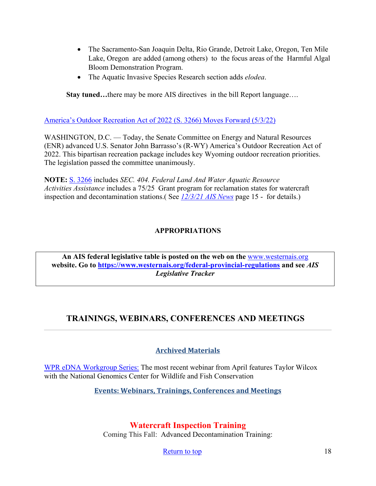- The Sacramento-San Joaquin Delta, Rio Grande, Detroit Lake, Oregon, Ten Mile Lake, Oregon are added (among others) to the focus areas of the Harmful Algal Bloom Demonstration Program.
- The Aquatic Invasive Species Research section adds *elodea*.

**Stay tuned…**there may be more AIS directives in the bill Report language….

[America's Outdoor Recreation Act of 2022 \(S. 3266\) Moves Forward \(5/3/22\)](https://www.energy.senate.gov/2022/5/wyoming-outdoor-recreation-priorities-move-forward)

WASHINGTON, D.C. — Today, the Senate Committee on Energy and Natural Resources (ENR) advanced U.S. Senator John Barrasso's (R-WY) America's Outdoor Recreation Act of 2022. This bipartisan recreation package includes key Wyoming outdoor recreation priorities. The legislation passed the committee unanimously.

**NOTE:** [S. 3266](https://www.congress.gov/bill/117th-congress/senate-bill/3266) includes *SEC. 404. Federal Land And Water Aquatic Resource Activities Assistance* includes a 75/25 Grant program for reclamation states for watercraft inspection and decontamination stations.( See *[12/3/21 AIS News](https://www.westernais.org/_files/ugd/bb76e5_2a790e16b92c43309161101dad245a70.pdf)* page 15 - for details.)

### **APPROPRIATIONS**

**An AIS federal legislative table is posted on the web on the** [www.westernais.org](http://www.westernais.org/) **website. Go to<https://www.westernais.org/federal-provincial-regulations> and see** *AIS Legislative Tracker*

# <span id="page-17-0"></span>**TRAININGS, WEBINARS, CONFERENCES AND MEETINGS**

### **Archived Materials**

[WPR eDNA Workgroup Series:](https://westernregionalpanel.org/edna-workgroup/) The most recent webinar from April features Taylor Wilcox with the National Genomics Center for Wildlife and Fish Conservation

**Events: Webinars, Trainings, Conferences and Meetings**

### **Watercraft Inspection Training**

Coming This Fall: Advanced Decontamination Training:

[Return to top](#page-0-0) 18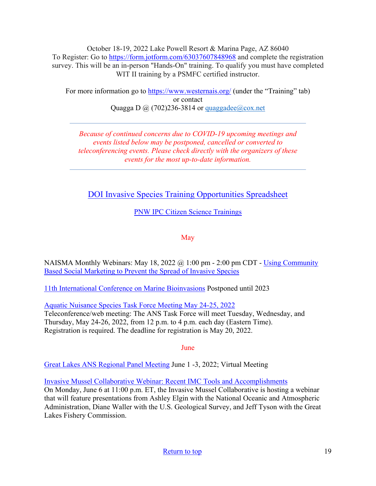October 18-19, 2022 Lake Powell Resort & Marina Page, AZ 86040 To Register: Go to<https://form.jotform.com/63037607848968>and complete the registration survey. This will be an in-person "Hands-On" training. To qualify you must have completed WIT II training by a PSMFC certified instructor.

For more information go to<https://www.westernais.org/> (under the "Training" tab) or contact Quagga D  $\omega$  (702)236-3814 or quaggadee $\omega$ cox.net

*Because of continued concerns due to COVID-19 upcoming meetings and events listed below may be postponed, cancelled or converted to teleconferencing events. Please check directly with the organizers of these events for the most up-to-date information.* 

[DOI Invasive Species Training Opportunities Spreadsheet](https://www.doi.gov/sites/doi.gov/files/doi-invasive-species-training-opportunities.pdf)

[PNW IPC Citizen Science Trainings](https://www.pnw-ipc.org/trainings)

May

NAISMA Monthly Webinars: May 18, 2022  $\omega$  1:00 pm - 2:00 pm CDT - Using Community [Based Social Marketing to Prevent the Spread of Invasive Species](https://naisma.org/event/webinar-using-community-based-social-marketing-to-prevent-the-spread-of-invasive-species/?utm_medium=email&utm_source=govdelivery)

[11th International Conference on Marine Bioinvasions](https://marinebioinvasions.info/) Postponed until 2023

[Aquatic Nuisance Species Task Force Meeting May 24-25, 2022](https://www.federalregister.gov/documents/2022/04/04/2022-06976/aquatic-nuisance-species-task-force-meeting)

Teleconference/web meeting: The ANS Task Force will meet Tuesday, Wednesday, and Thursday, May 24-26, 2022, from 12 p.m. to 4 p.m. each day (Eastern Time). Registration is required. The deadline for registration is May 20, 2022.

June

[Great Lakes ANS Regional Panel Meeting](https://www.glc.org/work/glpans/meetings?utm_medium=email&utm_source=govdelivery) June 1 -3, 2022; Virtual Meeting

[Invasive Mussel Collaborative Webinar: Recent IMC Tools and Accomplishments](https://invasivemusselcollaborative.net/event/webinar-recent-imc-tools-and-accomplishments/?utm_source=IMC+Dreissenid+Digest&utm_campaign=8ea0575b0c-Weekly_Dreissenid_Digest_4_13_2018_COPY_01&utm_medium=email&utm_term=0_68bd7ec89f-8ea0575b0c-128742361) On Monday, June 6 at 11:00 p.m. ET, the Invasive Mussel Collaborative is hosting a webinar that will feature presentations from Ashley Elgin with the National Oceanic and Atmospheric Administration, Diane Waller with the U.S. Geological Survey, and Jeff Tyson with the Great Lakes Fishery Commission.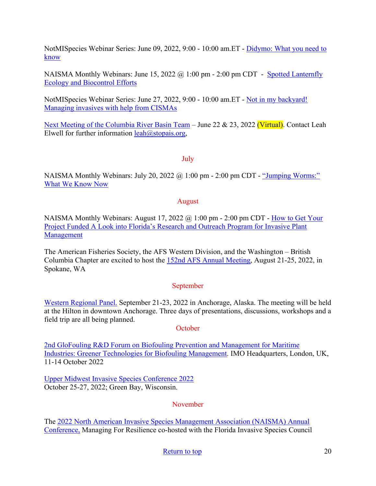NotMISpecies Webinar Series: June 09, 2022, 9:00 - 10:00 am.ET - [Didymo: What you need to](https://register.gotowebinar.com/register/4455354579598489871?utm_medium=email&utm_source=govdelivery)  [know](https://register.gotowebinar.com/register/4455354579598489871?utm_medium=email&utm_source=govdelivery) 

NAISMA Monthly Webinars: June 15, 2022 @ 1:00 pm - 2:00 pm CDT - Spotted Lanternfly [Ecology and Biocontrol Efforts](https://naisma.org/event/webinar-spotted-lanternfly-ecology-and-biocontrol-efforts/?utm_medium=email&utm_source=govdelivery)

NotMISpecies Webinar Series: June 27, 2022, 9:00 - 10:00 am.ET - [Not in my backyard!](https://register.gotowebinar.com/register/3901209515292444430?utm_medium=email&utm_source=govdelivery)  [Managing invasives with help from CISMAs](https://register.gotowebinar.com/register/3901209515292444430?utm_medium=email&utm_source=govdelivery) 

[Next Meeting of the Columbia River Basin Team](https://www.westernais.org/coordination) – June 22 & 23, 2022 (Virtual). Contact Leah Elwell for further information  $leah(\omega)$ stopais.org,

#### July

NAISMA Monthly Webinars: July 20, 2022  $\omega$  1:00 pm - 2:00 pm CDT - "Jumping Worms:" [What We Know Now](https://naisma.org/event/webinar-jumping-worms-what-we-know-now/?utm_medium=email&utm_source=govdelivery)

#### August

NAISMA Monthly Webinars: August 17, 2022 @ 1:00 pm - 2:00 pm CDT - [How to Get Your](https://naisma.org/event/webinar-w-samantha-yuan/?utm_medium=email&utm_source=govdelivery)  [Project Funded A Look into Florida's Research and Outreach Program for Invasive Plant](https://naisma.org/event/webinar-w-samantha-yuan/?utm_medium=email&utm_source=govdelivery)  [Management](https://naisma.org/event/webinar-w-samantha-yuan/?utm_medium=email&utm_source=govdelivery)

The American Fisheries Society, the AFS Western Division, and the Washington – British Columbia Chapter are excited to host the [152nd AFS Annual Meeting,](https://afsannualmeeting.fisheries.org/?utm_medium=email&utm_source=govdelivery#:%7E:text=The%20American%20Fisheries%20Society%2C%20President,city%20in%20Washington%20State%2C%20Spokane.) August 21-25, 2022, in Spokane, WA

#### September

[Western Regional Panel.](https://westernregionalpanel.org/2022-annual-meeting/) September 21-23, 2022 in Anchorage, Alaska. The meeting will be held at the Hilton in downtown Anchorage. Three days of presentations, discussions, workshops and a field trip are all being planned.

#### **October**

[2nd GloFouling R&D Forum on Biofouling Prevention and Management for Maritime](https://www.glofouling.imo.org/)  [Industries: Greener Technologies for Biofouling Management.](https://www.glofouling.imo.org/) IMO Headquarters, London, UK, 11-14 October 2022

[Upper Midwest Invasive Species Conference 2022](http://www.umisc.net/?utm_medium=email&utm_source=govdelivery)  October 25-27, 2022; Green Bay, Wisconsin.

#### November

The [2022 North American Invasive Species Management Association \(NAISMA\) Annual](https://naisma.org/conferences/abstract-submission/)  [Conference,](https://naisma.org/conferences/abstract-submission/) Managing For Resilience co-hosted with the Florida Invasive Species Council

#### [Return to top](#page-0-0) 20